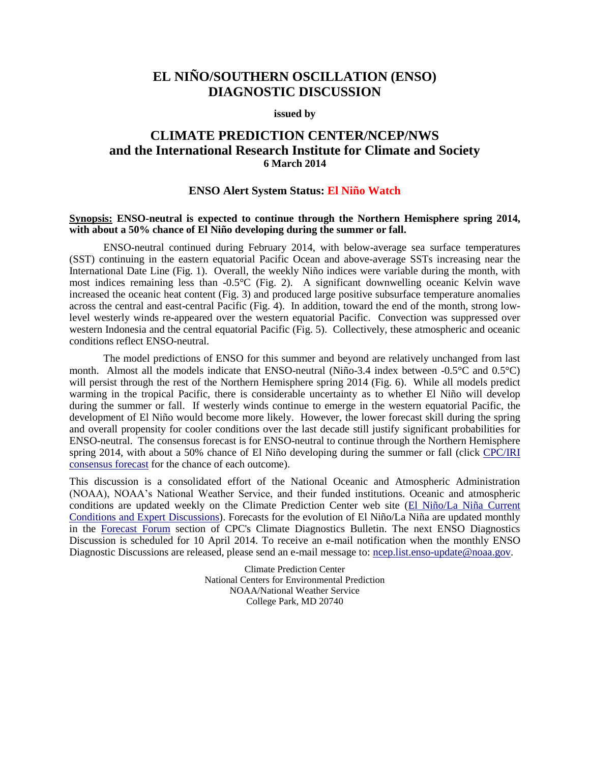## **EL NIÑO/SOUTHERN OSCILLATION (ENSO) DIAGNOSTIC DISCUSSION**

#### **issued by**

## **CLIMATE PREDICTION CENTER/NCEP/NWS and the International Research Institute for Climate and Society 6 March 2014**

### **ENSO Alert System Status: El Niño Watch**

#### **Synopsis: ENSO-neutral is expected to continue through the Northern Hemisphere spring 2014, with about a 50% chance of El Niño developing during the summer or fall.**

ENSO-neutral continued during February 2014, with below-average sea surface temperatures (SST) continuing in the eastern equatorial Pacific Ocean and above-average SSTs increasing near the International Date Line (Fig. 1). Overall, the weekly Niño indices were variable during the month, with most indices remaining less than -0.5°C (Fig. 2). A significant downwelling oceanic Kelvin wave increased the oceanic heat content (Fig. 3) and produced large positive subsurface temperature anomalies across the central and east-central Pacific (Fig. 4). In addition, toward the end of the month, strong lowlevel westerly winds re-appeared over the western equatorial Pacific. Convection was suppressed over western Indonesia and the central equatorial Pacific (Fig. 5). Collectively, these atmospheric and oceanic conditions reflect ENSO-neutral.

The model predictions of ENSO for this summer and beyond are relatively unchanged from last month. Almost all the models indicate that ENSO-neutral (Niño-3.4 index between -0.5°C and 0.5°C) will persist through the rest of the Northern Hemisphere spring 2014 (Fig. 6). While all models predict warming in the tropical Pacific, there is considerable uncertainty as to whether El Niño will develop during the summer or fall. If westerly winds continue to emerge in the western equatorial Pacific, the development of El Niño would become more likely. However, the lower forecast skill during the spring and overall propensity for cooler conditions over the last decade still justify significant probabilities for ENSO-neutral. The consensus forecast is for ENSO-neutral to continue through the Northern Hemisphere spring 2014, with about a 50% chance of El Niño developing during the summer or fall (click [CPC/IRI](http://iri.columbia.edu/our-expertise/climate/forecasts/enso/current/?enso_tab=enso-cpc_plume)  [consensus forecast](http://iri.columbia.edu/our-expertise/climate/forecasts/enso/current/?enso_tab=enso-cpc_plume) for the chance of each outcome).

This discussion is a consolidated effort of the National Oceanic and Atmospheric Administration (NOAA), NOAA's National Weather Service, and their funded institutions. Oceanic and atmospheric conditions are updated weekly on the Climate Prediction Center web site [\(El Niño/La Niña Current](http://www.cpc.ncep.noaa.gov/products/precip/CWlink/MJO/enso.shtml)  [Conditions and Expert Discussions\)](http://www.cpc.ncep.noaa.gov/products/precip/CWlink/MJO/enso.shtml). Forecasts for the evolution of El Niño/La Niña are updated monthly in the [Forecast Forum](http://www.cpc.ncep.noaa.gov/products/CDB/Forecast/forecast.shtml) section of CPC's Climate Diagnostics Bulletin. The next ENSO Diagnostics Discussion is scheduled for 10 April 2014. To receive an e-mail notification when the monthly ENSO Diagnostic Discussions are released, please send an e-mail message to: [ncep.list.enso-update@noaa.gov.](mailto:ncep.list.enso-update@noaa.gov)

> Climate Prediction Center National Centers for Environmental Prediction NOAA/National Weather Service College Park, MD 20740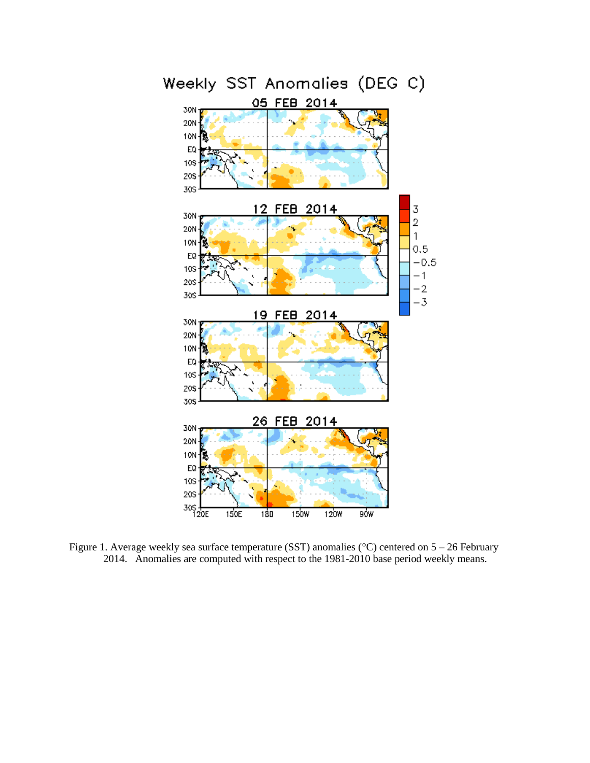

Figure 1. Average weekly sea surface temperature (SST) anomalies (°C) centered on 5 – 26 February 2014. Anomalies are computed with respect to the 1981-2010 base period weekly means.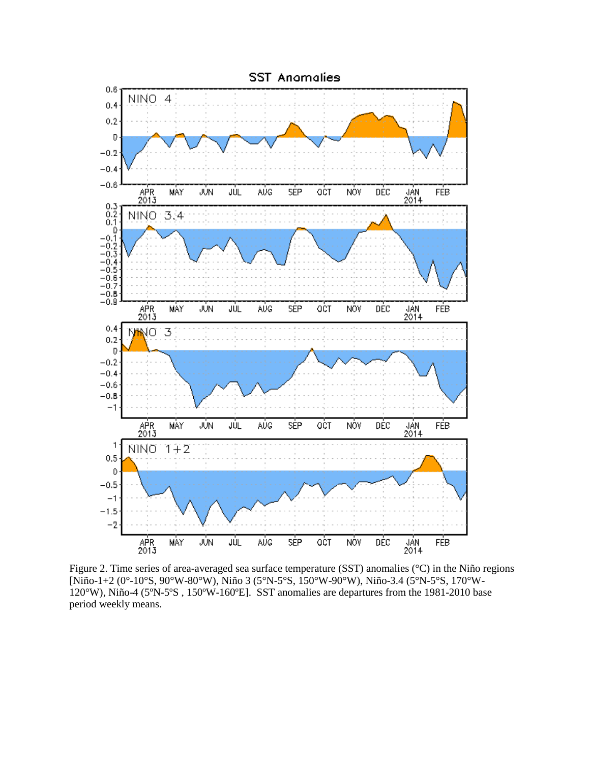

Figure 2. Time series of area-averaged sea surface temperature (SST) anomalies (°C) in the Niño regions [Niño-1+2 (0°-10°S, 90°W-80°W), Niño 3 (5°N-5°S, 150°W-90°W), Niño-3.4 (5°N-5°S, 170°W-120°W), Niño-4 (5ºN-5ºS , 150ºW-160ºE]. SST anomalies are departures from the 1981-2010 base period weekly means.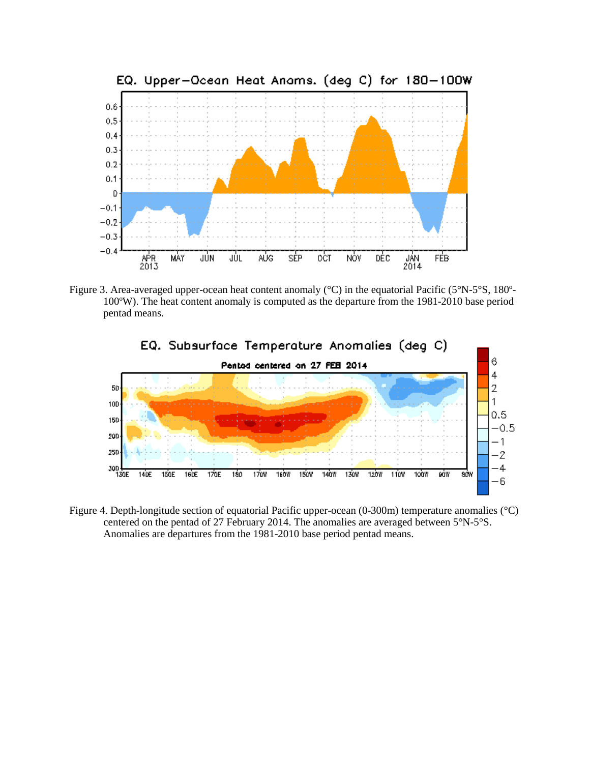

Figure 3. Area-averaged upper-ocean heat content anomaly (°C) in the equatorial Pacific (5°N-5°S, 180º-100ºW). The heat content anomaly is computed as the departure from the 1981-2010 base period pentad means.



Figure 4. Depth-longitude section of equatorial Pacific upper-ocean (0-300m) temperature anomalies (°C) centered on the pentad of 27 February 2014. The anomalies are averaged between 5°N-5°S. Anomalies are departures from the 1981-2010 base period pentad means.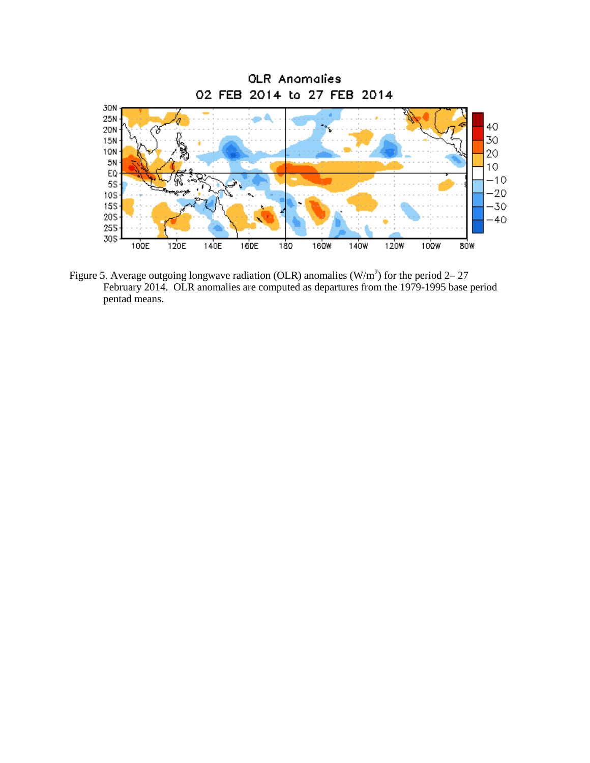

Figure 5. Average outgoing longwave radiation (OLR) anomalies (W/m<sup>2</sup>) for the period 2–27 February 2014. OLR anomalies are computed as departures from the 1979-1995 base period pentad means.